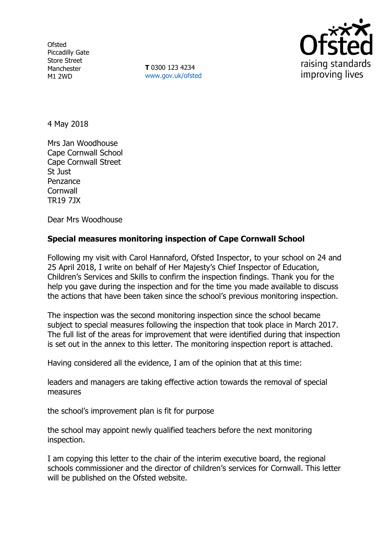**Ofsted** Piccadilly Gate Store Street Manchester M1 2WD

**T** 0300 123 4234 www.gov.uk/ofsted



4 May 2018

Mrs Jan Woodhouse Cape Cornwall School Cape Cornwall Street St Just Penzance **Cornwall** TR19 7JX

Dear Mrs Woodhouse

### **Special measures monitoring inspection of Cape Cornwall School**

Following my visit with Carol Hannaford, Ofsted Inspector, to your school on 24 and 25 April 2018, I write on behalf of Her Majesty's Chief Inspector of Education, Children's Services and Skills to confirm the inspection findings. Thank you for the help you gave during the inspection and for the time you made available to discuss the actions that have been taken since the school's previous monitoring inspection.

The inspection was the second monitoring inspection since the school became subject to special measures following the inspection that took place in March 2017. The full list of the areas for improvement that were identified during that inspection is set out in the annex to this letter. The monitoring inspection report is attached.

Having considered all the evidence, I am of the opinion that at this time:

leaders and managers are taking effective action towards the removal of special measures

the school's improvement plan is fit for purpose

the school may appoint newly qualified teachers before the next monitoring inspection.

I am copying this letter to the chair of the interim executive board, the regional schools commissioner and the director of children's services for Cornwall. This letter will be published on the Ofsted website.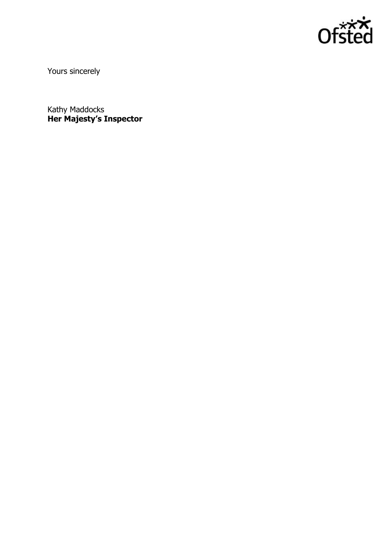

Yours sincerely

Kathy Maddocks **Her Majesty's Inspector**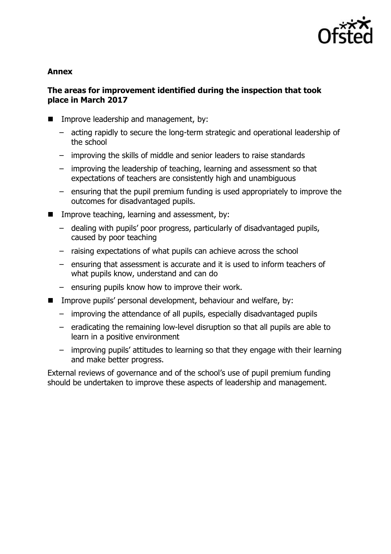

### **Annex**

## **The areas for improvement identified during the inspection that took place in March 2017**

- **IMPROPE IMAGE IN THE IMPROPE IN THE IMAGE IN THE IMAGE IN THE IMAGE IN THE IMAGE I** 
	- acting rapidly to secure the long-term strategic and operational leadership of the school
	- improving the skills of middle and senior leaders to raise standards
	- improving the leadership of teaching, learning and assessment so that expectations of teachers are consistently high and unambiguous
	- ensuring that the pupil premium funding is used appropriately to improve the outcomes for disadvantaged pupils.
- Improve teaching, learning and assessment, by:
	- dealing with pupils' poor progress, particularly of disadvantaged pupils, caused by poor teaching
	- raising expectations of what pupils can achieve across the school
	- ensuring that assessment is accurate and it is used to inform teachers of what pupils know, understand and can do
	- ensuring pupils know how to improve their work.
- Improve pupils' personal development, behaviour and welfare, by:
	- improving the attendance of all pupils, especially disadvantaged pupils
	- eradicating the remaining low-level disruption so that all pupils are able to learn in a positive environment
	- improving pupils' attitudes to learning so that they engage with their learning and make better progress.

External reviews of governance and of the school's use of pupil premium funding should be undertaken to improve these aspects of leadership and management.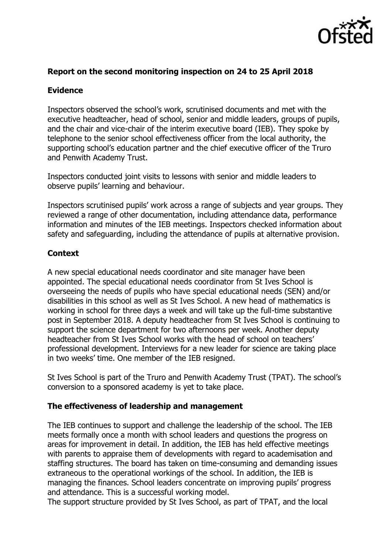

### **Report on the second monitoring inspection on 24 to 25 April 2018**

## **Evidence**

Inspectors observed the school's work, scrutinised documents and met with the executive headteacher, head of school, senior and middle leaders, groups of pupils, and the chair and vice-chair of the interim executive board (IEB). They spoke by telephone to the senior school effectiveness officer from the local authority, the supporting school's education partner and the chief executive officer of the Truro and Penwith Academy Trust.

Inspectors conducted joint visits to lessons with senior and middle leaders to observe pupils' learning and behaviour.

Inspectors scrutinised pupils' work across a range of subjects and year groups. They reviewed a range of other documentation, including attendance data, performance information and minutes of the IEB meetings. Inspectors checked information about safety and safeguarding, including the attendance of pupils at alternative provision.

# **Context**

A new special educational needs coordinator and site manager have been appointed. The special educational needs coordinator from St Ives School is overseeing the needs of pupils who have special educational needs (SEN) and/or disabilities in this school as well as St Ives School. A new head of mathematics is working in school for three days a week and will take up the full-time substantive post in September 2018. A deputy headteacher from St Ives School is continuing to support the science department for two afternoons per week. Another deputy headteacher from St Ives School works with the head of school on teachers' professional development. Interviews for a new leader for science are taking place in two weeks' time. One member of the IEB resigned.

St Ives School is part of the Truro and Penwith Academy Trust (TPAT). The school's conversion to a sponsored academy is yet to take place.

### **The effectiveness of leadership and management**

The IEB continues to support and challenge the leadership of the school. The IEB meets formally once a month with school leaders and questions the progress on areas for improvement in detail. In addition, the IEB has held effective meetings with parents to appraise them of developments with regard to academisation and staffing structures. The board has taken on time-consuming and demanding issues extraneous to the operational workings of the school. In addition, the IEB is managing the finances. School leaders concentrate on improving pupils' progress and attendance. This is a successful working model.

The support structure provided by St Ives School, as part of TPAT, and the local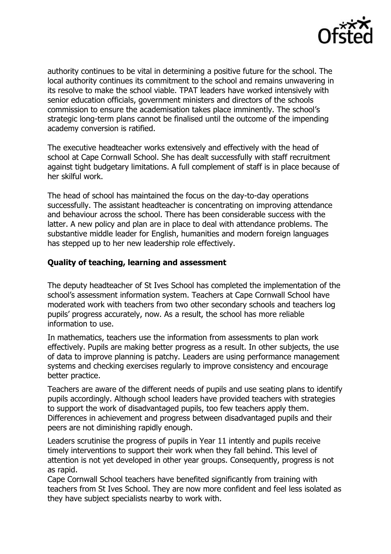

authority continues to be vital in determining a positive future for the school. The local authority continues its commitment to the school and remains unwavering in its resolve to make the school viable. TPAT leaders have worked intensively with senior education officials, government ministers and directors of the schools commission to ensure the academisation takes place imminently. The school's strategic long-term plans cannot be finalised until the outcome of the impending academy conversion is ratified.

The executive headteacher works extensively and effectively with the head of school at Cape Cornwall School. She has dealt successfully with staff recruitment against tight budgetary limitations. A full complement of staff is in place because of her skilful work.

The head of school has maintained the focus on the day-to-day operations successfully. The assistant headteacher is concentrating on improving attendance and behaviour across the school. There has been considerable success with the latter. A new policy and plan are in place to deal with attendance problems. The substantive middle leader for English, humanities and modern foreign languages has stepped up to her new leadership role effectively.

### **Quality of teaching, learning and assessment**

The deputy headteacher of St Ives School has completed the implementation of the school's assessment information system. Teachers at Cape Cornwall School have moderated work with teachers from two other secondary schools and teachers log pupils' progress accurately, now. As a result, the school has more reliable information to use.

In mathematics, teachers use the information from assessments to plan work effectively. Pupils are making better progress as a result. In other subjects, the use of data to improve planning is patchy. Leaders are using performance management systems and checking exercises regularly to improve consistency and encourage better practice.

Teachers are aware of the different needs of pupils and use seating plans to identify pupils accordingly. Although school leaders have provided teachers with strategies to support the work of disadvantaged pupils, too few teachers apply them. Differences in achievement and progress between disadvantaged pupils and their peers are not diminishing rapidly enough.

Leaders scrutinise the progress of pupils in Year 11 intently and pupils receive timely interventions to support their work when they fall behind. This level of attention is not yet developed in other year groups. Consequently, progress is not as rapid.

Cape Cornwall School teachers have benefited significantly from training with teachers from St Ives School. They are now more confident and feel less isolated as they have subject specialists nearby to work with.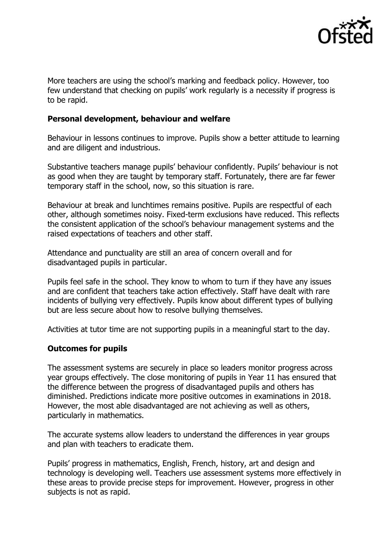

More teachers are using the school's marking and feedback policy. However, too few understand that checking on pupils' work regularly is a necessity if progress is to be rapid.

#### **Personal development, behaviour and welfare**

Behaviour in lessons continues to improve. Pupils show a better attitude to learning and are diligent and industrious.

Substantive teachers manage pupils' behaviour confidently. Pupils' behaviour is not as good when they are taught by temporary staff. Fortunately, there are far fewer temporary staff in the school, now, so this situation is rare.

Behaviour at break and lunchtimes remains positive. Pupils are respectful of each other, although sometimes noisy. Fixed-term exclusions have reduced. This reflects the consistent application of the school's behaviour management systems and the raised expectations of teachers and other staff.

Attendance and punctuality are still an area of concern overall and for disadvantaged pupils in particular.

Pupils feel safe in the school. They know to whom to turn if they have any issues and are confident that teachers take action effectively. Staff have dealt with rare incidents of bullying very effectively. Pupils know about different types of bullying but are less secure about how to resolve bullying themselves.

Activities at tutor time are not supporting pupils in a meaningful start to the day.

#### **Outcomes for pupils**

The assessment systems are securely in place so leaders monitor progress across year groups effectively. The close monitoring of pupils in Year 11 has ensured that the difference between the progress of disadvantaged pupils and others has diminished. Predictions indicate more positive outcomes in examinations in 2018. However, the most able disadvantaged are not achieving as well as others, particularly in mathematics.

The accurate systems allow leaders to understand the differences in year groups and plan with teachers to eradicate them.

Pupils' progress in mathematics, English, French, history, art and design and technology is developing well. Teachers use assessment systems more effectively in these areas to provide precise steps for improvement. However, progress in other subjects is not as rapid.